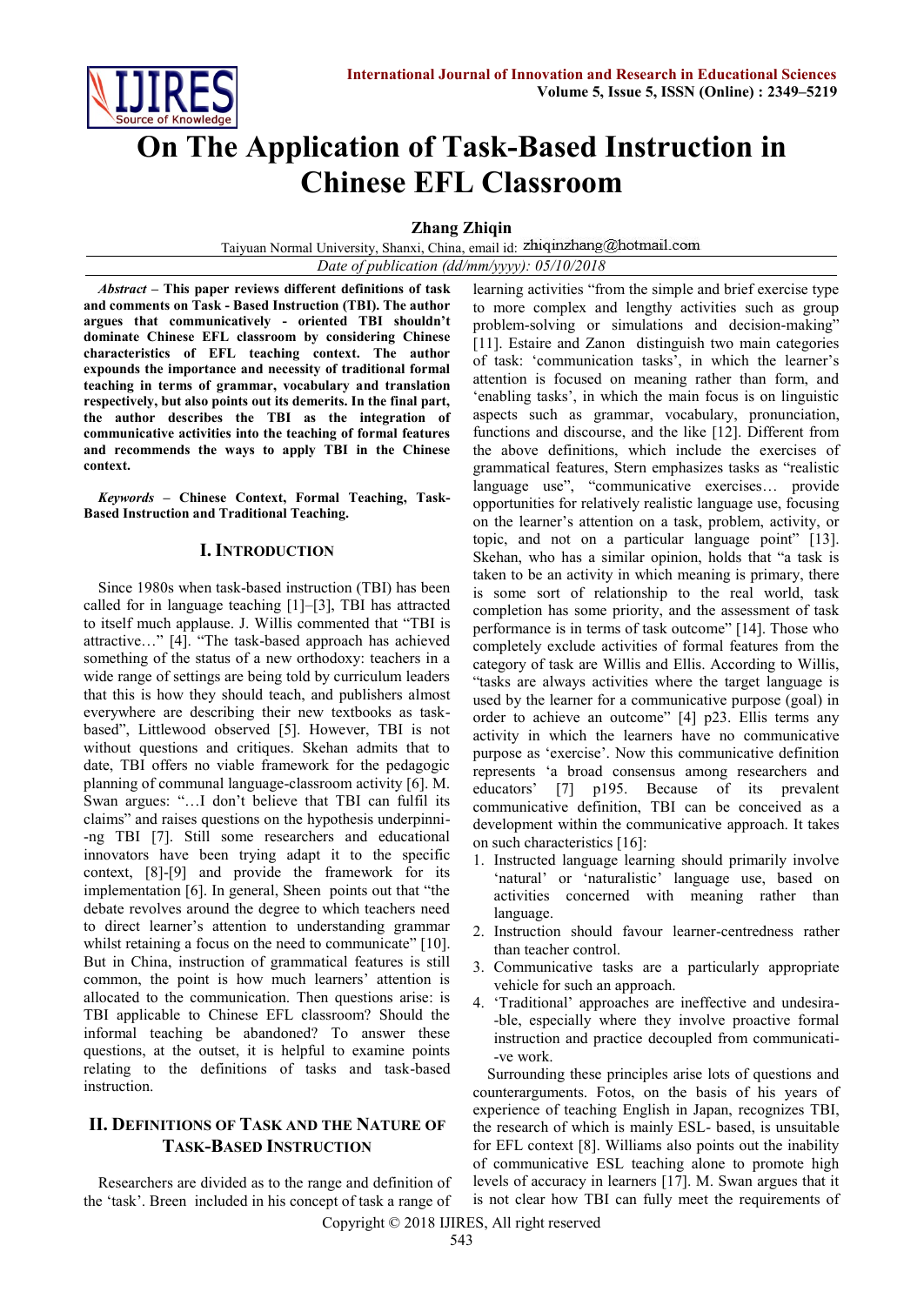

# **On The Application of Task-Based Instruction in Chinese EFL Classroom**

**Zhang Zhiqin**

Taiyuan Normal University, Shanxi, China, email id: *Date of publication (dd/mm/yyyy): 05/10/2018*

*Abstract –* **This paper reviews different definitions of task and comments on Task - Based Instruction (TBI). The author argues that communicatively - oriented TBI shouldn't dominate Chinese EFL classroom by considering Chinese characteristics of EFL teaching context. The author expounds the importance and necessity of traditional formal teaching in terms of grammar, vocabulary and translation respectively, but also points out its demerits. In the final part, the author describes the TBI as the integration of communicative activities into the teaching of formal features and recommends the ways to apply TBI in the Chinese context.**

*Keywords* **– Chinese Context, Formal Teaching, Task-Based Instruction and Traditional Teaching.**

#### **I. INTRODUCTION**

Since 1980s when task-based instruction (TBI) has been called for in language teaching [1]–[3], TBI has attracted to itself much applause. J. Willis commented that "TBI is attractive…" [4]. "The task-based approach has achieved something of the status of a new orthodoxy: teachers in a wide range of settings are being told by curriculum leaders that this is how they should teach, and publishers almost everywhere are describing their new textbooks as taskbased", Littlewood observed [5]. However, TBI is not without questions and critiques. Skehan admits that to date, TBI offers no viable framework for the pedagogic planning of communal language-classroom activity [6]. M. Swan argues: "…I don't believe that TBI can fulfil its claims" and raises questions on the hypothesis underpinni- -ng TBI [7]. Still some researchers and educational innovators have been trying adapt it to the specific context, [8]-[9] and provide the framework for its implementation [6]. In general, Sheen points out that "the debate revolves around the degree to which teachers need to direct learner's attention to understanding grammar whilst retaining a focus on the need to communicate" [10]. But in China, instruction of grammatical features is still common, the point is how much learners' attention is allocated to the communication. Then questions arise: is TBI applicable to Chinese EFL classroom? Should the informal teaching be abandoned? To answer these questions, at the outset, it is helpful to examine points relating to the definitions of tasks and task-based instruction.

# **II. DEFINITIONS OF TASK AND THE NATURE OF TASK-BASED INSTRUCTION**

Researchers are divided as to the range and definition of the 'task'. Breen included in his concept of task a range of

learning activities "from the simple and brief exercise type to more complex and lengthy activities such as group problem-solving or simulations and decision-making" [11]. Estaire and Zanon distinguish two main categories of task: 'communication tasks', in which the learner's attention is focused on meaning rather than form, and 'enabling tasks', in which the main focus is on linguistic aspects such as grammar, vocabulary, pronunciation, functions and discourse, and the like [12]. Different from the above definitions, which include the exercises of grammatical features, Stern emphasizes tasks as "realistic language use", "communicative exercises… provide opportunities for relatively realistic language use, focusing on the learner's attention on a task, problem, activity, or topic, and not on a particular language point" [13]. Skehan, who has a similar opinion, holds that "a task is taken to be an activity in which meaning is primary, there is some sort of relationship to the real world, task completion has some priority, and the assessment of task performance is in terms of task outcome" [14]. Those who completely exclude activities of formal features from the category of task are Willis and Ellis. According to Willis, "tasks are always activities where the target language is used by the learner for a communicative purpose (goal) in order to achieve an outcome" [4] p23. Ellis terms any activity in which the learners have no communicative purpose as 'exercise'. Now this communicative definition represents 'a broad consensus among researchers and educators' [7] p195. Because of its prevalent communicative definition, TBI can be conceived as a development within the communicative approach. It takes on such characteristics [16]:

- 1. Instructed language learning should primarily involve 'natural' or 'naturalistic' language use, based on activities concerned with meaning rather than language.
- 2. Instruction should favour learner-centredness rather than teacher control.
- 3. Communicative tasks are a particularly appropriate vehicle for such an approach.
- 4. 'Traditional' approaches are ineffective and undesira- -ble, especially where they involve proactive formal instruction and practice decoupled from communicati- -ve work.

Surrounding these principles arise lots of questions and counterarguments. Fotos, on the basis of his years of experience of teaching English in Japan, recognizes TBI, the research of which is mainly ESL- based, is unsuitable for EFL context [8]. Williams also points out the inability of communicative ESL teaching alone to promote high levels of accuracy in learners [17]. M. Swan argues that it is not clear how TBI can fully meet the requirements of

Copyright © 2018 IJIRES, All right reserved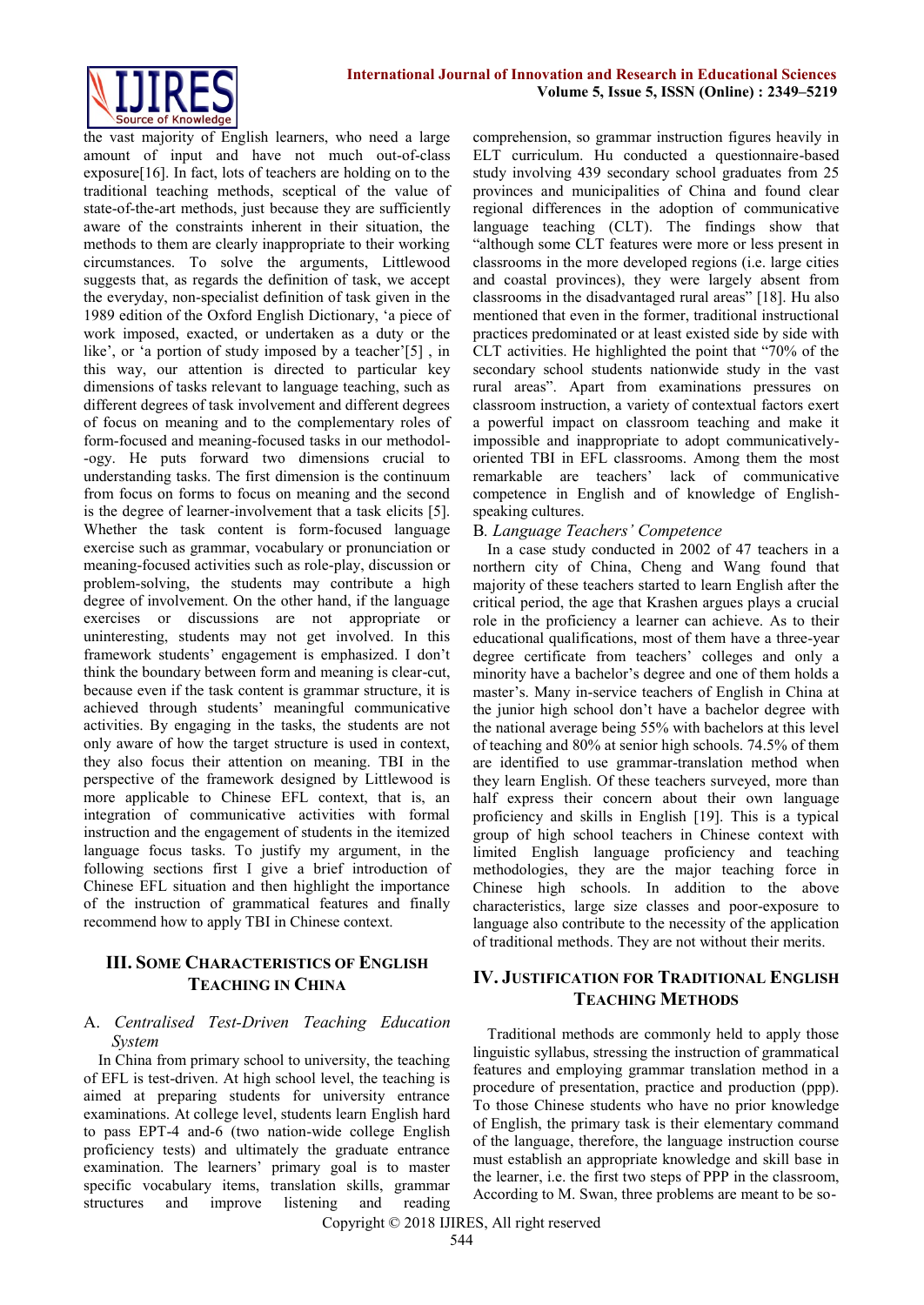

the vast majority of English learners, who need a large amount of input and have not much out-of-class exposure[16]. In fact, lots of teachers are holding on to the traditional teaching methods, sceptical of the value of state-of-the-art methods, just because they are sufficiently aware of the constraints inherent in their situation, the methods to them are clearly inappropriate to their working circumstances. To solve the arguments, Littlewood suggests that, as regards the definition of task, we accept the everyday, non-specialist definition of task given in the 1989 edition of the Oxford English Dictionary, 'a piece of work imposed, exacted, or undertaken as a duty or the like', or 'a portion of study imposed by a teacher'[5] , in this way, our attention is directed to particular key dimensions of tasks relevant to language teaching, such as different degrees of task involvement and different degrees of focus on meaning and to the complementary roles of form-focused and meaning-focused tasks in our methodol- -ogy. He puts forward two dimensions crucial to understanding tasks. The first dimension is the continuum from focus on forms to focus on meaning and the second is the degree of learner-involvement that a task elicits [5]. Whether the task content is form-focused language exercise such as grammar, vocabulary or pronunciation or meaning-focused activities such as role-play, discussion or problem-solving, the students may contribute a high degree of involvement. On the other hand, if the language exercises or discussions are not appropriate or uninteresting, students may not get involved. In this framework students' engagement is emphasized. I don't think the boundary between form and meaning is clear-cut, because even if the task content is grammar structure, it is achieved through students' meaningful communicative activities. By engaging in the tasks, the students are not only aware of how the target structure is used in context, they also focus their attention on meaning. TBI in the perspective of the framework designed by Littlewood is more applicable to Chinese EFL context, that is, an integration of communicative activities with formal instruction and the engagement of students in the itemized language focus tasks. To justify my argument, in the following sections first I give a brief introduction of Chinese EFL situation and then highlight the importance of the instruction of grammatical features and finally recommend how to apply TBI in Chinese context.

## **III. SOME CHARACTERISTICS OF ENGLISH TEACHING IN CHINA**

#### A. *Centralised Test-Driven Teaching Education System*

In China from primary school to university, the teaching of EFL is test-driven. At high school level, the teaching is aimed at preparing students for university entrance examinations. At college level, students learn English hard to pass EPT-4 and-6 (two nation-wide college English proficiency tests) and ultimately the graduate entrance examination. The learners' primary goal is to master specific vocabulary items, translation skills, grammar structures and improve listening and reading

comprehension, so grammar instruction figures heavily in ELT curriculum. Hu conducted a questionnaire-based study involving 439 secondary school graduates from 25 provinces and municipalities of China and found clear regional differences in the adoption of communicative language teaching (CLT). The findings show that "although some CLT features were more or less present in classrooms in the more developed regions (i.e. large cities and coastal provinces), they were largely absent from classrooms in the disadvantaged rural areas" [18]. Hu also mentioned that even in the former, traditional instructional practices predominated or at least existed side by side with CLT activities. He highlighted the point that "70% of the secondary school students nationwide study in the vast rural areas". Apart from examinations pressures on classroom instruction, a variety of contextual factors exert a powerful impact on classroom teaching and make it impossible and inappropriate to adopt communicativelyoriented TBI in EFL classrooms. Among them the most remarkable are teachers' lack of communicative competence in English and of knowledge of Englishspeaking cultures.

#### B*. Language Teachers' Competence*

In a case study conducted in 2002 of 47 teachers in a northern city of China, Cheng and Wang found that majority of these teachers started to learn English after the critical period, the age that Krashen argues plays a crucial role in the proficiency a learner can achieve. As to their educational qualifications, most of them have a three-year degree certificate from teachers' colleges and only a minority have a bachelor's degree and one of them holds a master's. Many in-service teachers of English in China at the junior high school don't have a bachelor degree with the national average being 55% with bachelors at this level of teaching and 80% at senior high schools. 74.5% of them are identified to use grammar-translation method when they learn English. Of these teachers surveyed, more than half express their concern about their own language proficiency and skills in English [19]. This is a typical group of high school teachers in Chinese context with limited English language proficiency and teaching methodologies, they are the major teaching force in Chinese high schools. In addition to the above characteristics, large size classes and poor-exposure to language also contribute to the necessity of the application of traditional methods. They are not without their merits.

# **IV. JUSTIFICATION FOR TRADITIONAL ENGLISH TEACHING METHODS**

Traditional methods are commonly held to apply those linguistic syllabus, stressing the instruction of grammatical features and employing grammar translation method in a procedure of presentation, practice and production (ppp). To those Chinese students who have no prior knowledge of English, the primary task is their elementary command of the language, therefore, the language instruction course must establish an appropriate knowledge and skill base in the learner, i.e. the first two steps of PPP in the classroom, According to M. Swan, three problems are meant to be so-

Copyright © 2018 IJIRES, All right reserved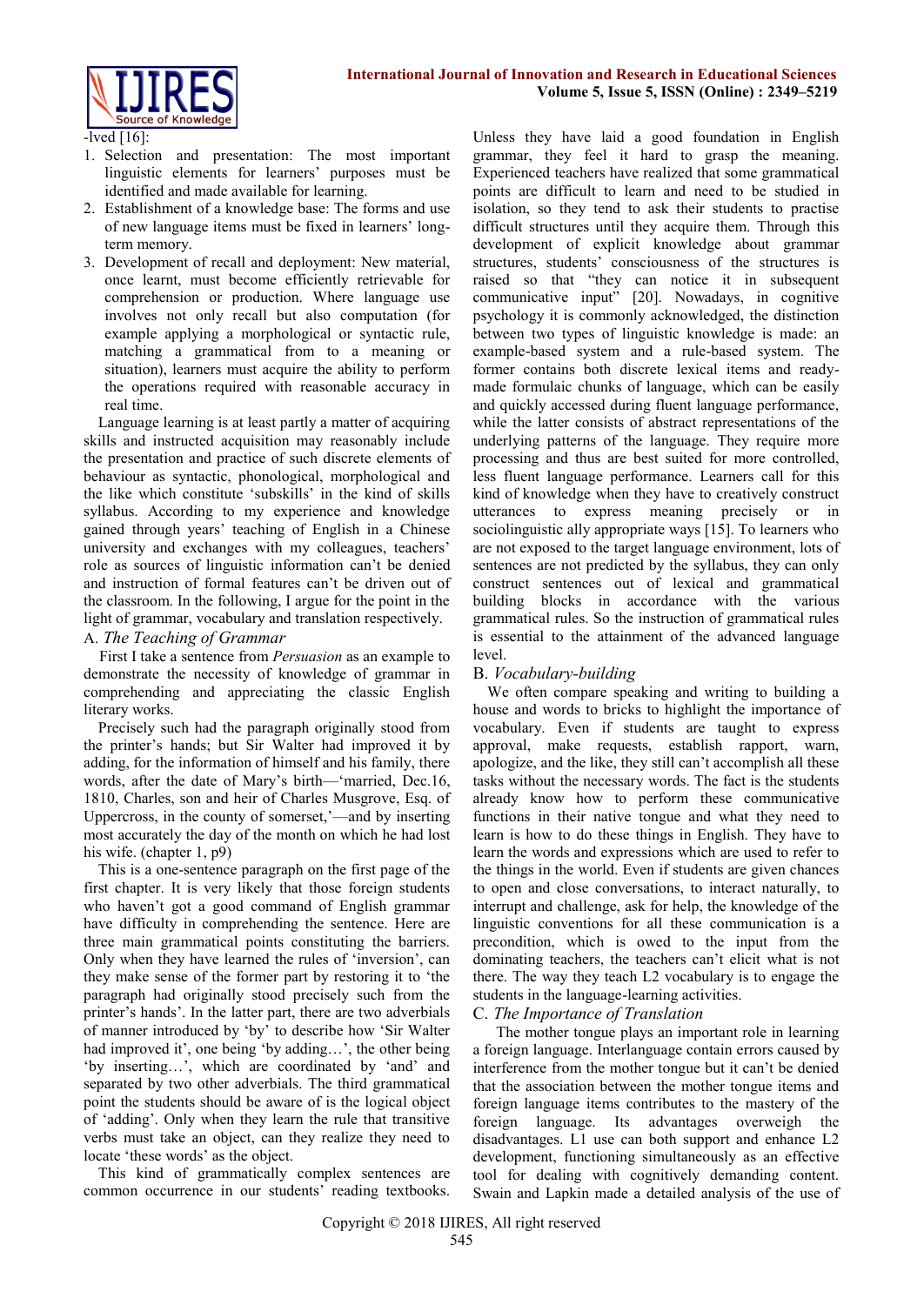

-lved [16]:

- 1. Selection and presentation: The most important linguistic elements for learners' purposes must be identified and made available for learning.
- 2. Establishment of a knowledge base: The forms and use of new language items must be fixed in learners' longterm memory.
- 3. Development of recall and deployment: New material, once learnt, must become efficiently retrievable for comprehension or production. Where language use involves not only recall but also computation (for example applying a morphological or syntactic rule, matching a grammatical from to a meaning or situation), learners must acquire the ability to perform the operations required with reasonable accuracy in real time.

Language learning is at least partly a matter of acquiring skills and instructed acquisition may reasonably include the presentation and practice of such discrete elements of behaviour as syntactic, phonological, morphological and the like which constitute 'subskills' in the kind of skills syllabus. According to my experience and knowledge gained through years' teaching of English in a Chinese university and exchanges with my colleagues, teachers' role as sources of linguistic information can't be denied and instruction of formal features can't be driven out of the classroom. In the following, I argue for the point in the light of grammar, vocabulary and translation respectively.

A. *The Teaching of Grammar* 

First I take a sentence from *Persuasion* as an example to demonstrate the necessity of knowledge of grammar in comprehending and appreciating the classic English literary works.

Precisely such had the paragraph originally stood from the printer's hands; but Sir Walter had improved it by adding, for the information of himself and his family, there words, after the date of Mary's birth—'married, Dec.16, 1810, Charles, son and heir of Charles Musgrove, Esq. of Uppercross, in the county of somerset,'—and by inserting most accurately the day of the month on which he had lost his wife. (chapter 1, p9)

This is a one-sentence paragraph on the first page of the first chapter. It is very likely that those foreign students who haven't got a good command of English grammar have difficulty in comprehending the sentence. Here are three main grammatical points constituting the barriers. Only when they have learned the rules of 'inversion', can they make sense of the former part by restoring it to 'the paragraph had originally stood precisely such from the printer's hands'. In the latter part, there are two adverbials of manner introduced by 'by' to describe how 'Sir Walter had improved it', one being 'by adding…', the other being 'by inserting…', which are coordinated by 'and' and separated by two other adverbials. The third grammatical point the students should be aware of is the logical object of 'adding'. Only when they learn the rule that transitive verbs must take an object, can they realize they need to locate 'these words' as the object.

This kind of grammatically complex sentences are common occurrence in our students' reading textbooks. Unless they have laid a good foundation in English grammar, they feel it hard to grasp the meaning. Experienced teachers have realized that some grammatical points are difficult to learn and need to be studied in isolation, so they tend to ask their students to practise difficult structures until they acquire them. Through this development of explicit knowledge about grammar structures, students' consciousness of the structures is raised so that "they can notice it in subsequent communicative input" [20]. Nowadays, in cognitive psychology it is commonly acknowledged, the distinction between two types of linguistic knowledge is made: an example-based system and a rule-based system. The former contains both discrete lexical items and readymade formulaic chunks of language, which can be easily and quickly accessed during fluent language performance, while the latter consists of abstract representations of the underlying patterns of the language. They require more processing and thus are best suited for more controlled, less fluent language performance. Learners call for this kind of knowledge when they have to creatively construct utterances to express meaning precisely or in sociolinguistic ally appropriate ways [15]. To learners who are not exposed to the target language environment, lots of sentences are not predicted by the syllabus, they can only construct sentences out of lexical and grammatical building blocks in accordance with the various grammatical rules. So the instruction of grammatical rules is essential to the attainment of the advanced language level.

## B. *Vocabulary-building*

We often compare speaking and writing to building a house and words to bricks to highlight the importance of vocabulary. Even if students are taught to express approval, make requests, establish rapport, warn, apologize, and the like, they still can't accomplish all these tasks without the necessary words. The fact is the students already know how to perform these communicative functions in their native tongue and what they need to learn is how to do these things in English. They have to learn the words and expressions which are used to refer to the things in the world. Even if students are given chances to open and close conversations, to interact naturally, to interrupt and challenge, ask for help, the knowledge of the linguistic conventions for all these communication is a precondition, which is owed to the input from the dominating teachers, the teachers can't elicit what is not there. The way they teach L2 vocabulary is to engage the students in the language-learning activities.

#### C. *The Importance of Translation*

The mother tongue plays an important role in learning a foreign language. Interlanguage contain errors caused by interference from the mother tongue but it can't be denied that the association between the mother tongue items and foreign language items contributes to the mastery of the foreign language. Its advantages overweigh the disadvantages. L1 use can both support and enhance L2 development, functioning simultaneously as an effective tool for dealing with cognitively demanding content. Swain and Lapkin made a detailed analysis of the use of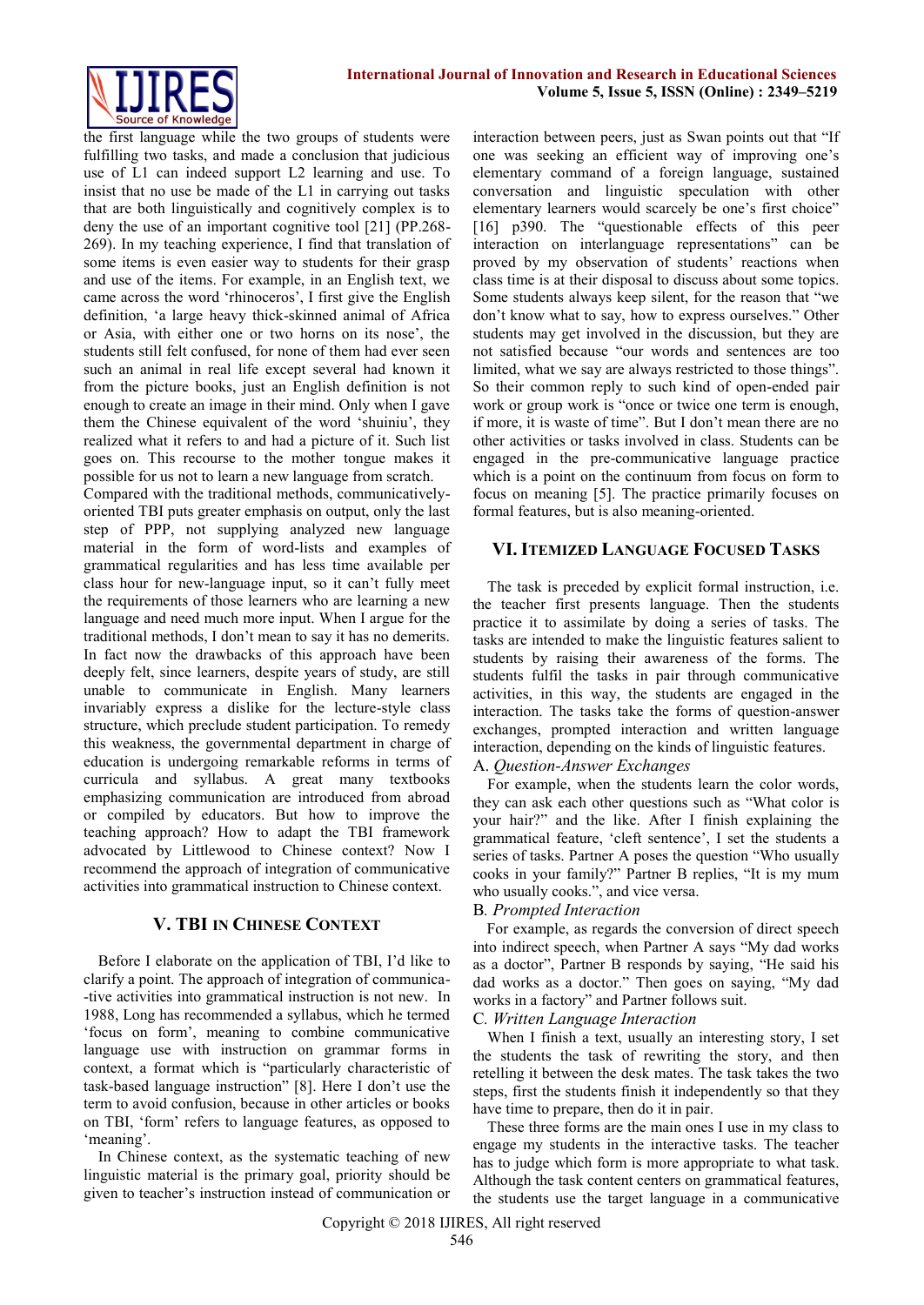

the first language while the two groups of students were fulfilling two tasks, and made a conclusion that judicious use of L1 can indeed support L2 learning and use. To insist that no use be made of the L1 in carrying out tasks that are both linguistically and cognitively complex is to deny the use of an important cognitive tool [21] (PP.268- 269). In my teaching experience, I find that translation of some items is even easier way to students for their grasp and use of the items. For example, in an English text, we came across the word 'rhinoceros', I first give the English definition, 'a large heavy thick-skinned animal of Africa or Asia, with either one or two horns on its nose', the students still felt confused, for none of them had ever seen such an animal in real life except several had known it from the picture books, just an English definition is not enough to create an image in their mind. Only when I gave them the Chinese equivalent of the word 'shuiniu', they realized what it refers to and had a picture of it. Such list goes on. This recourse to the mother tongue makes it possible for us not to learn a new language from scratch.

Compared with the traditional methods, communicativelyoriented TBI puts greater emphasis on output, only the last step of PPP, not supplying analyzed new language material in the form of word-lists and examples of grammatical regularities and has less time available per class hour for new-language input, so it can't fully meet the requirements of those learners who are learning a new language and need much more input. When I argue for the traditional methods, I don't mean to say it has no demerits. In fact now the drawbacks of this approach have been deeply felt, since learners, despite years of study, are still unable to communicate in English. Many learners invariably express a dislike for the lecture-style class structure, which preclude student participation. To remedy this weakness, the governmental department in charge of education is undergoing remarkable reforms in terms of curricula and syllabus. A great many textbooks emphasizing communication are introduced from abroad or compiled by educators. But how to improve the teaching approach? How to adapt the TBI framework advocated by Littlewood to Chinese context? Now I recommend the approach of integration of communicative activities into grammatical instruction to Chinese context.

## **V. TBI IN CHINESE CONTEXT**

Before I elaborate on the application of TBI, I'd like to clarify a point. The approach of integration of communica- -tive activities into grammatical instruction is not new. In 1988, Long has recommended a syllabus, which he termed 'focus on form', meaning to combine communicative language use with instruction on grammar forms in context, a format which is "particularly characteristic of task-based language instruction" [8]. Here I don't use the term to avoid confusion, because in other articles or books on TBI, 'form' refers to language features, as opposed to 'meaning'.

In Chinese context, as the systematic teaching of new linguistic material is the primary goal, priority should be given to teacher's instruction instead of communication or

interaction between peers, just as Swan points out that "If one was seeking an efficient way of improving one's elementary command of a foreign language, sustained conversation and linguistic speculation with other elementary learners would scarcely be one's first choice" [16] p390. The "questionable effects of this peer interaction on interlanguage representations" can be proved by my observation of students' reactions when class time is at their disposal to discuss about some topics. Some students always keep silent, for the reason that "we don't know what to say, how to express ourselves." Other students may get involved in the discussion, but they are not satisfied because "our words and sentences are too limited, what we say are always restricted to those things". So their common reply to such kind of open-ended pair work or group work is "once or twice one term is enough, if more, it is waste of time". But I don't mean there are no other activities or tasks involved in class. Students can be engaged in the pre-communicative language practice which is a point on the continuum from focus on form to focus on meaning [5]. The practice primarily focuses on formal features, but is also meaning-oriented.

## **VI. ITEMIZED LANGUAGE FOCUSED TASKS**

The task is preceded by explicit formal instruction, i.e. the teacher first presents language. Then the students practice it to assimilate by doing a series of tasks. The tasks are intended to make the linguistic features salient to students by raising their awareness of the forms. The students fulfil the tasks in pair through communicative activities, in this way, the students are engaged in the interaction. The tasks take the forms of question-answer exchanges, prompted interaction and written language interaction, depending on the kinds of linguistic features.

# A. *Question-Answer Exchanges*

For example, when the students learn the color words, they can ask each other questions such as "What color is your hair?" and the like. After I finish explaining the grammatical feature, 'cleft sentence', I set the students a series of tasks. Partner A poses the question "Who usually cooks in your family?" Partner B replies, "It is my mum who usually cooks.", and vice versa.

#### B*. Prompted Interaction*

For example, as regards the conversion of direct speech into indirect speech, when Partner A says "My dad works as a doctor", Partner B responds by saying, "He said his dad works as a doctor." Then goes on saying, "My dad works in a factory" and Partner follows suit.

#### C*. Written Language Interaction*

When I finish a text, usually an interesting story, I set the students the task of rewriting the story, and then retelling it between the desk mates. The task takes the two steps, first the students finish it independently so that they have time to prepare, then do it in pair.

These three forms are the main ones I use in my class to engage my students in the interactive tasks. The teacher has to judge which form is more appropriate to what task. Although the task content centers on grammatical features, the students use the target language in a communicative